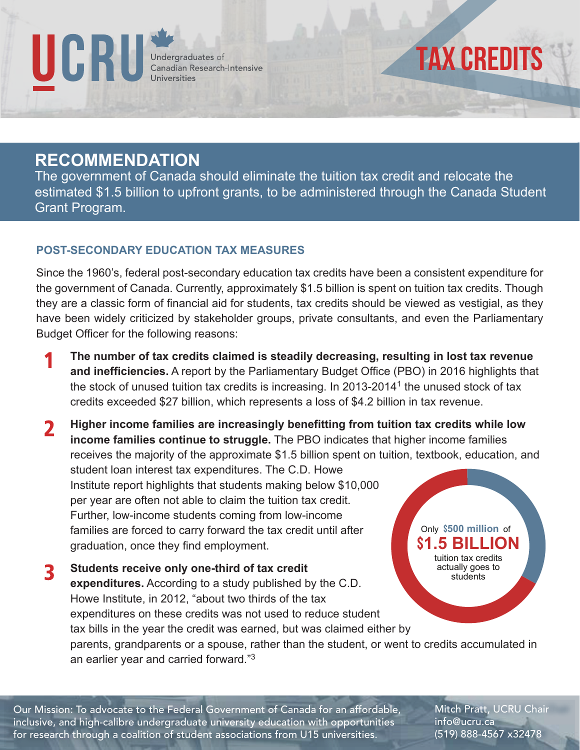

## tax credits

## **RECOMMENDATION**

The government of Canada should eliminate the tuition tax credit and relocate the estimated \$1.5 billion to upfront grants, to be administered through the Canada Student Grant Program.

## **POST-SECONDARY EDUCATION TAX MEASURES**

Since the 1960's, federal post-secondary education tax credits have been a consistent expenditure for the government of Canada. Currently, approximately \$1.5 billion is spent on tuition tax credits. Though they are a classic form of financial aid for students, tax credits should be viewed as vestigial, as they have been widely criticized by stakeholder groups, private consultants, and even the Parliamentary Budget Officer for the following reasons:

- **The number of tax credits claimed is steadily decreasing, resulting in lost tax revenue and inefficiencies.** A report by the Parliamentary Budget Office (PBO) in 2016 highlights that the stock of unused tuition tax credits is increasing. In 2013-2014<sup>1</sup> the unused stock of tax credits exceeded \$27 billion, which represents a loss of \$4.2 billion in tax revenue.
- **Higher income families are increasingly benefitting from tuition tax credits while low**   $\boldsymbol{\mathcal{P}}$  **income families continue to struggle.** The PBO indicates that higher income families receives the majority of the approximate \$1.5 billion spent on tuition, textbook, education, and

 student loan interest tax expenditures. The C.D. Howe Institute report highlights that students making below \$10,000 per year are often not able to claim the tuition tax credit. Further, low-income students coming from low-income families are forced to carry forward the tax credit until after graduation, once they find employment.

 **Students receive only one-third of tax credit expenditures.** According to a study published by the C.D. Howe Institute, in 2012, "about two thirds of the tax expenditures on these credits was not used to reduce student tax bills in the year the credit was earned, but was claimed either by parents, grandparents or a spouse, rather than the student, or went to credits accumulated in an earlier year and carried forward."<sup>3</sup> tuition tax credits actually goes to students

Our Mission: To advocate to the Federal Government of Canada for an affordable, inclusive, and high-calibre undergraduate university education with opportunities for research through a coalition of student associations from U15 universities.

Mitch Pratt, UCRU Chair info@ucru.ca (519) 888-4567 x32478

Only \$500 million of \$**1.5 BILLION**